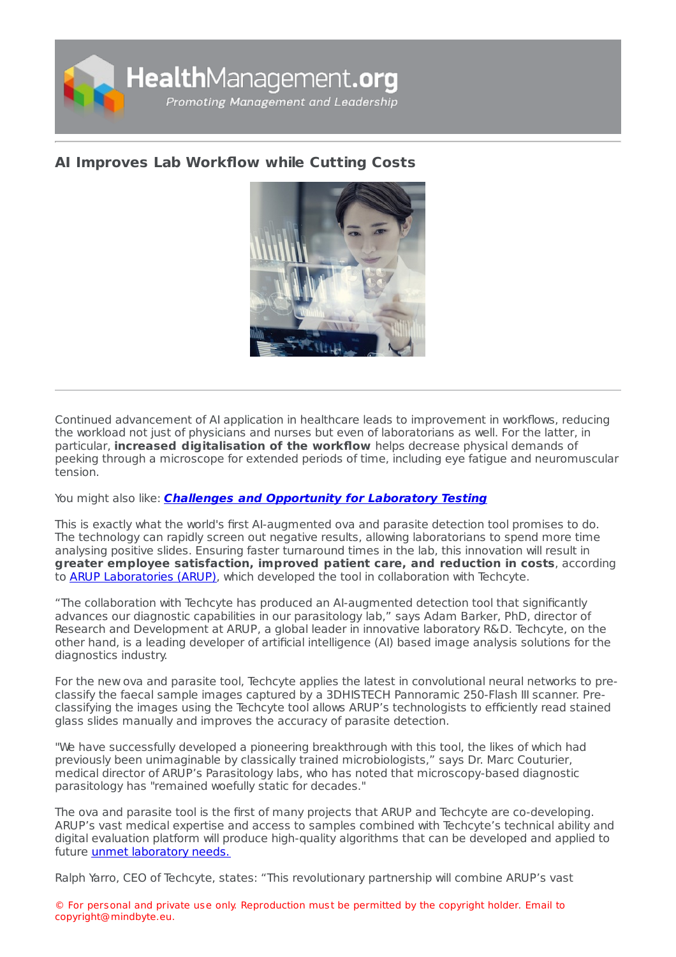

## **AI Improves Lab [Workflow](https://healthmanagement.org/s/ai-improves-lab-workflow-while-cutting-costs) while Cutting Costs**



Continued advancement of AI application in healthcare leads to improvement in workflows, reducing the workload not just of physicians and nurses but even of laboratorians as well. For the latter, in particular, **increased digitalisation of the workflow** helps decrease physical demands of peeking through a microscope for extended periods of time, including eye fatigue and neuromuscular tension.

You might also like: **Challenges and [Opportunity](https://healthmanagement.org/c/hospital/post/challenges-and-opportunities-for-laboratory-testing-1) for Laboratory Testing**

This is exactly what the world's first AI-augmented ova and parasite detection tool promises to do. The technology can rapidly screen out negative results, allowing laboratorians to spend more time analysing positive slides. Ensuring faster turnaround times in the lab, this innovation will result in **greater employee satisfaction, improved patient care, and reduction in costs**, according to ARUP [Laboratories](https://www.aruplab.com/) (ARUP), which developed the tool in collaboration with Techcyte.

"The collaboration with Techcyte has produced an AI-augmented detection tool that significantly advances our diagnostic capabilities in our parasitology lab," says Adam Barker, PhD, director of Research and Development at ARUP, a global leader in innovative laboratory R&D. Techcyte, on the other hand, is a leading developer of artificial intelligence (AI) based image analysis solutions for the diagnostics industry.

For the new ova and parasite tool, Techcyte applies the latest in convolutional neural networks to preclassify the faecal sample images captured by a 3DHISTECH Pannoramic 250-Flash III scanner. Preclassifying the images using the Techcyte tool allows ARUP's technologists to efficiently read stained glass slides manually and improves the accuracy of parasite detection.

"We have successfully developed a pioneering breakthrough with this tool, the likes of which had previously been unimaginable by classically trained microbiologists," says Dr. Marc Couturier, medical director of ARUP's Parasitology labs, who has noted that microscopy-based diagnostic parasitology has "remained woefully static for decades."

The ova and parasite tool is the first of many projects that ARUP and Techcyte are co-developing. ARUP's vast medical expertise and access to samples combined with Techcyte's technical ability and digital evaluation platform will produce high-quality algorithms that can be developed and applied to future unmet [laboratory](https://healthmanagement.org/c/it/news/automating-ai-for-clinical-decision-making) needs.

Ralph Yarro, CEO of Techcyte, states: "This revolutionary partnership will combine ARUP's vast

© For personal and private use only. Reproduction must be permitted by the copyright holder. Email to copyright@mindbyte.eu.